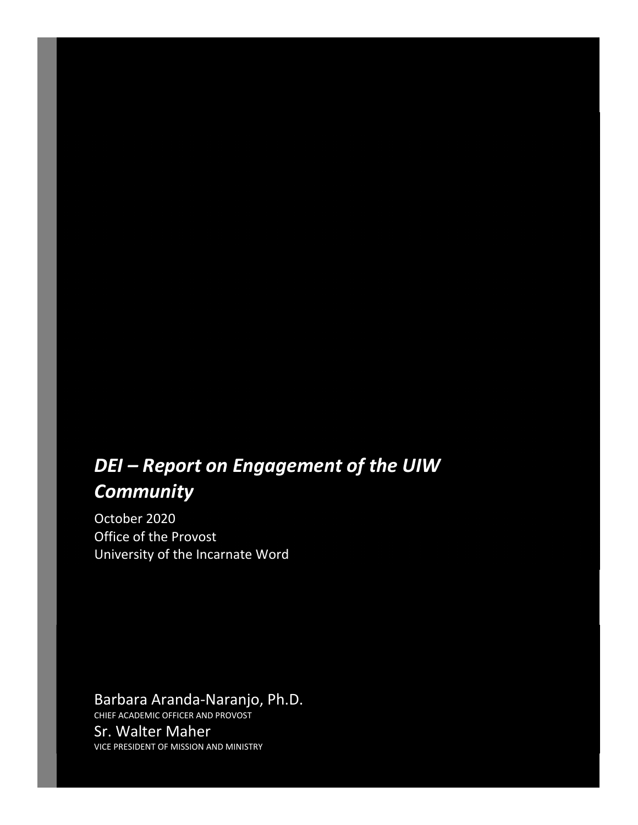# *DEI – Report on Engagement of the UIW Community*

October 2020 Office of the Provost University of the Incarnate Word

## Barbara Aranda‐Naranjo, Ph.D.

CHIEF ACADEMIC OFFICER AND PROVOST Sr. Walter Maher VICE PRESIDENT OF MISSION AND MINISTRY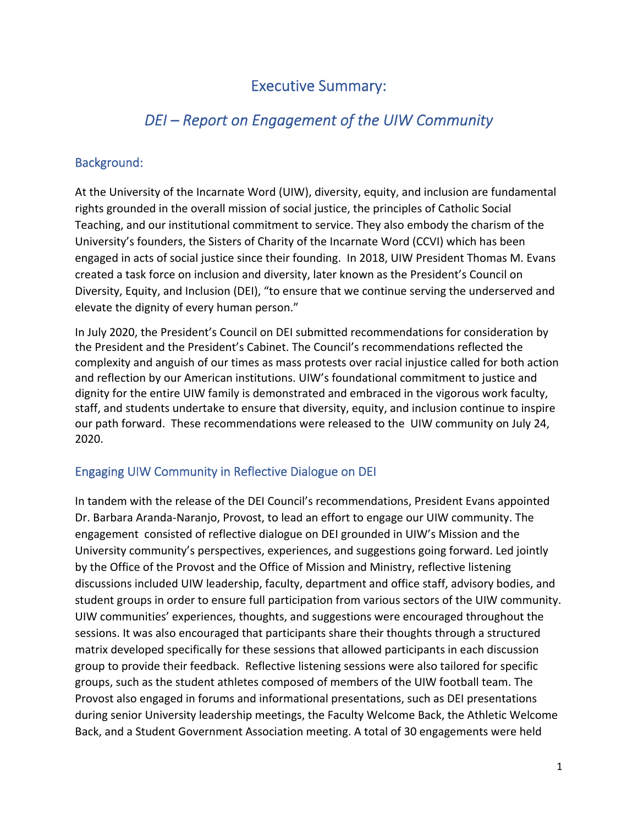## Executive Summary:

## *DEI – Report on Engagement of the UIW Community*

## Background:

At the University of the Incarnate Word (UIW), diversity, equity, and inclusion are fundamental rights grounded in the overall mission of social justice, the principles of Catholic Social Teaching, and our institutional commitment to service. They also embody the charism of the University's founders, the Sisters of Charity of the Incarnate Word (CCVI) which has been engaged in acts of social justice since their founding. In 2018, UIW President Thomas M. Evans created a task force on inclusion and diversity, later known as the President's Council on Diversity, Equity, and Inclusion (DEI), "to ensure that we continue serving the underserved and elevate the dignity of every human person."

In July 2020, the President's Council on DEI submitted recommendations for consideration by the President and the President's Cabinet. The Council's recommendations reflected the complexity and anguish of our times as mass protests over racial injustice called for both action and reflection by our American institutions. UIW's foundational commitment to justice and dignity for the entire UIW family is demonstrated and embraced in the vigorous work faculty, staff, and students undertake to ensure that diversity, equity, and inclusion continue to inspire our path forward. These recommendations were released to the UIW community on July 24, 2020.

## Engaging UIW Community in Reflective Dialogue on DEI

In tandem with the release of the DEI Council's recommendations, President Evans appointed Dr. Barbara Aranda‐Naranjo, Provost, to lead an effort to engage our UIW community. The engagement consisted of reflective dialogue on DEI grounded in UIW's Mission and the University community's perspectives, experiences, and suggestions going forward. Led jointly by the Office of the Provost and the Office of Mission and Ministry, reflective listening discussions included UIW leadership, faculty, department and office staff, advisory bodies, and student groups in order to ensure full participation from various sectors of the UIW community. UIW communities' experiences, thoughts, and suggestions were encouraged throughout the sessions. It was also encouraged that participants share their thoughts through a structured matrix developed specifically for these sessions that allowed participants in each discussion group to provide their feedback. Reflective listening sessions were also tailored for specific groups, such as the student athletes composed of members of the UIW football team. The Provost also engaged in forums and informational presentations, such as DEI presentations during senior University leadership meetings, the Faculty Welcome Back, the Athletic Welcome Back, and a Student Government Association meeting. A total of 30 engagements were held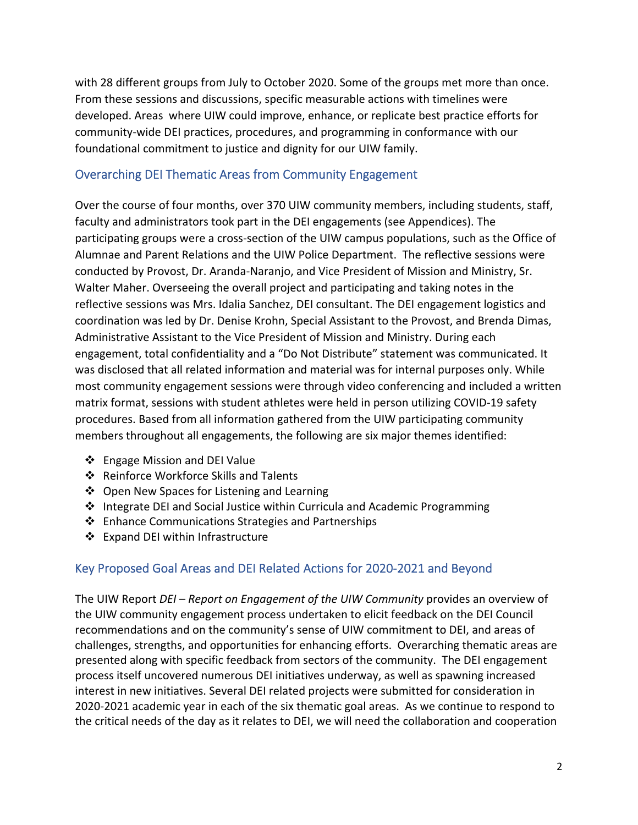with 28 different groups from July to October 2020. Some of the groups met more than once. From these sessions and discussions, specific measurable actions with timelines were developed. Areas where UIW could improve, enhance, or replicate best practice efforts for community‐wide DEI practices, procedures, and programming in conformance with our foundational commitment to justice and dignity for our UIW family.

## Overarching DEI Thematic Areas from Community Engagement

Over the course of four months, over 370 UIW community members, including students, staff, faculty and administrators took part in the DEI engagements (see Appendices). The participating groups were a cross‐section of the UIW campus populations, such as the Office of Alumnae and Parent Relations and the UIW Police Department. The reflective sessions were conducted by Provost, Dr. Aranda‐Naranjo, and Vice President of Mission and Ministry, Sr. Walter Maher. Overseeing the overall project and participating and taking notes in the reflective sessions was Mrs. Idalia Sanchez, DEI consultant. The DEI engagement logistics and coordination was led by Dr. Denise Krohn, Special Assistant to the Provost, and Brenda Dimas, Administrative Assistant to the Vice President of Mission and Ministry. During each engagement, total confidentiality and a "Do Not Distribute" statement was communicated. It was disclosed that all related information and material was for internal purposes only. While most community engagement sessions were through video conferencing and included a written matrix format, sessions with student athletes were held in person utilizing COVID‐19 safety procedures. Based from all information gathered from the UIW participating community members throughout all engagements, the following are six major themes identified:

- ❖ Engage Mission and DEI Value
- ❖ Reinforce Workforce Skills and Talents
- ❖ Open New Spaces for Listening and Learning
- $\div$  Integrate DEI and Social Justice within Curricula and Academic Programming
- ❖ Enhance Communications Strategies and Partnerships
- ❖ Expand DEI within Infrastructure

## Key Proposed Goal Areas and DEI Related Actions for 2020‐2021 and Beyond

The UIW Report *DEI – Report on Engagement of the UIW Community* provides an overview of the UIW community engagement process undertaken to elicit feedback on the DEI Council recommendations and on the community's sense of UIW commitment to DEI, and areas of challenges, strengths, and opportunities for enhancing efforts. Overarching thematic areas are presented along with specific feedback from sectors of the community. The DEI engagement process itself uncovered numerous DEI initiatives underway, as well as spawning increased interest in new initiatives. Several DEI related projects were submitted for consideration in 2020‐2021 academic year in each of the six thematic goal areas. As we continue to respond to the critical needs of the day as it relates to DEI, we will need the collaboration and cooperation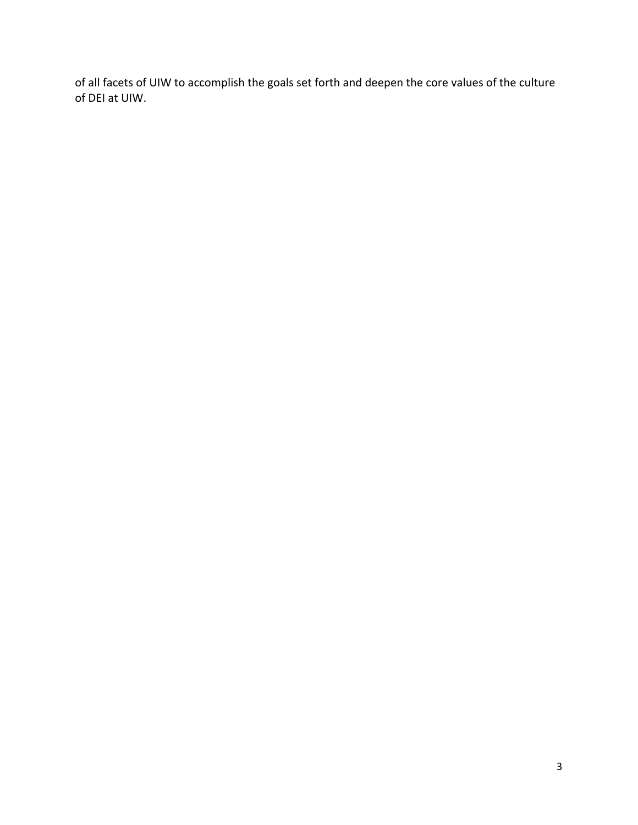of all facets of UIW to accomplish the goals set forth and deepen the core values of the culture of DEI at UIW.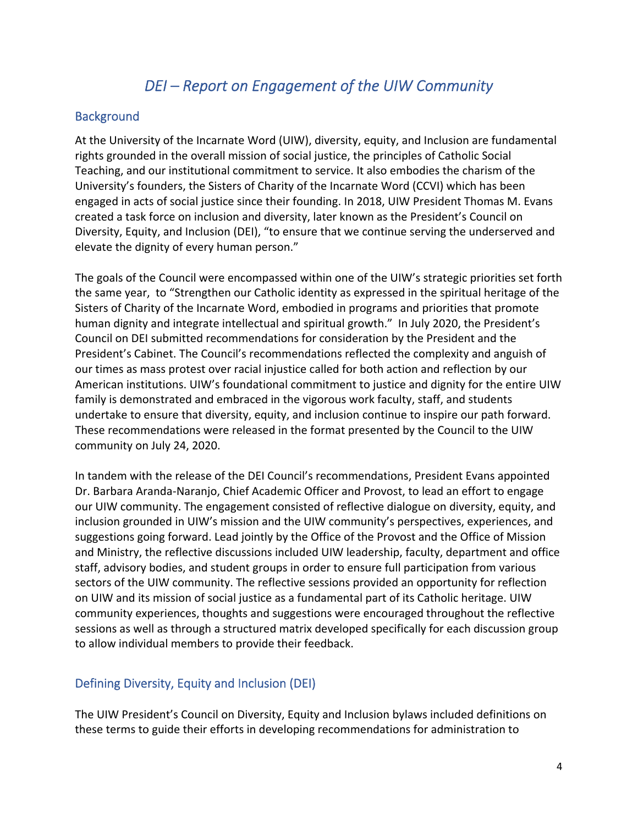## *DEI – Report on Engagement of the UIW Community*

#### **Background**

At the University of the Incarnate Word (UIW), diversity, equity, and Inclusion are fundamental rights grounded in the overall mission of social justice, the principles of Catholic Social Teaching, and our institutional commitment to service. It also embodies the charism of the University's founders, the Sisters of Charity of the Incarnate Word (CCVI) which has been engaged in acts of social justice since their founding. In 2018, UIW President Thomas M. Evans created a task force on inclusion and diversity, later known as the President's Council on Diversity, Equity, and Inclusion (DEI), "to ensure that we continue serving the underserved and elevate the dignity of every human person."

The goals of the Council were encompassed within one of the UIW's strategic priorities set forth the same year, to "Strengthen our Catholic identity as expressed in the spiritual heritage of the Sisters of Charity of the Incarnate Word, embodied in programs and priorities that promote human dignity and integrate intellectual and spiritual growth." In July 2020, the President's Council on DEI submitted recommendations for consideration by the President and the President's Cabinet. The Council's recommendations reflected the complexity and anguish of our times as mass protest over racial injustice called for both action and reflection by our American institutions. UIW's foundational commitment to justice and dignity for the entire UIW family is demonstrated and embraced in the vigorous work faculty, staff, and students undertake to ensure that diversity, equity, and inclusion continue to inspire our path forward. These recommendations were released in the format presented by the Council to the UIW community on July 24, 2020.

In tandem with the release of the DEI Council's recommendations, President Evans appointed Dr. Barbara Aranda‐Naranjo, Chief Academic Officer and Provost, to lead an effort to engage our UIW community. The engagement consisted of reflective dialogue on diversity, equity, and inclusion grounded in UIW's mission and the UIW community's perspectives, experiences, and suggestions going forward. Lead jointly by the Office of the Provost and the Office of Mission and Ministry, the reflective discussions included UIW leadership, faculty, department and office staff, advisory bodies, and student groups in order to ensure full participation from various sectors of the UIW community. The reflective sessions provided an opportunity for reflection on UIW and its mission of social justice as a fundamental part of its Catholic heritage. UIW community experiences, thoughts and suggestions were encouraged throughout the reflective sessions as well as through a structured matrix developed specifically for each discussion group to allow individual members to provide their feedback.

### Defining Diversity, Equity and Inclusion (DEI)

The UIW President's Council on Diversity, Equity and Inclusion bylaws included definitions on these terms to guide their efforts in developing recommendations for administration to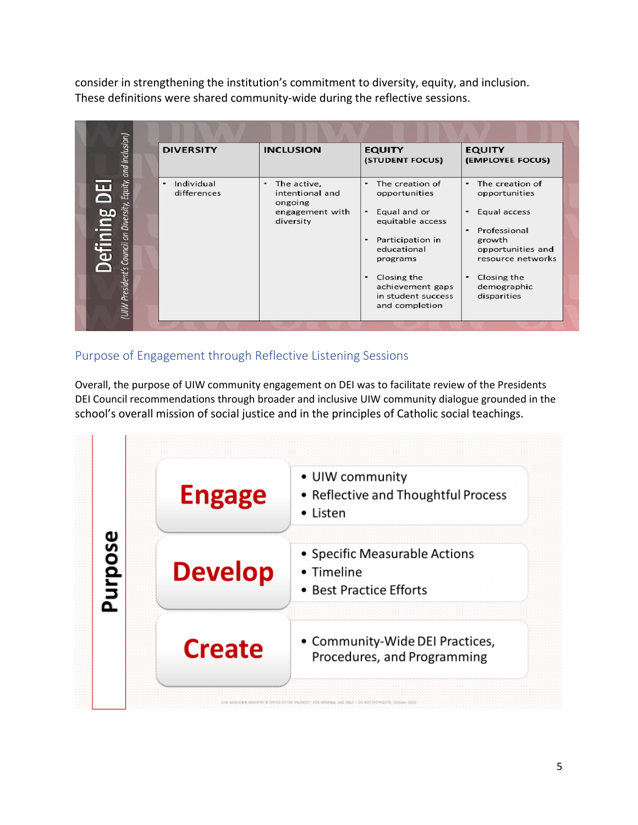consider in strengthening the institution's commitment to diversity, equity, and inclusion. These definitions were shared community‐wide during the reflective sessions.

| Equity, and Inclusion)                              | <b>DIVERSITY</b>               | <b>INCLUSION</b>                                                               | <b>EQUITY</b><br>(STUDENT FOCUS)                                                                                                                                                                 | <b>EQUITY</b><br>(EMPLOYEE FOCUS)                                                                                                                                                           |
|-----------------------------------------------------|--------------------------------|--------------------------------------------------------------------------------|--------------------------------------------------------------------------------------------------------------------------------------------------------------------------------------------------|---------------------------------------------------------------------------------------------------------------------------------------------------------------------------------------------|
| ப<br>Defining<br>5<br>Council on<br>UIW President's | Individual<br>٠<br>differences | The active,<br>٠<br>intentional and<br>ongoing<br>engagement with<br>diversity | The creation of<br>$\bullet$<br>opportunities<br>• Equal and or<br>equitable access<br>Participation in<br>educational<br>programs<br>Closing the<br>٠<br>achievement gaps<br>in student success | • The creation of<br>opportunities<br>Equal access<br>$\bullet$<br>Professional<br>$\cdot$<br>growth<br>opportunities and<br>resource networks<br>Closing the<br>demographic<br>disparities |
|                                                     |                                |                                                                                | and completion                                                                                                                                                                                   |                                                                                                                                                                                             |

## Purpose of Engagement through Reflective Listening Sessions

Overall, the purpose of UIW community engagement on DEI was to facilitate review of the Presidents DEI Council recommendations through broader and inclusive UIW community dialogue grounded in the school's overall mission of social justice and in the principles of Catholic social teachings.

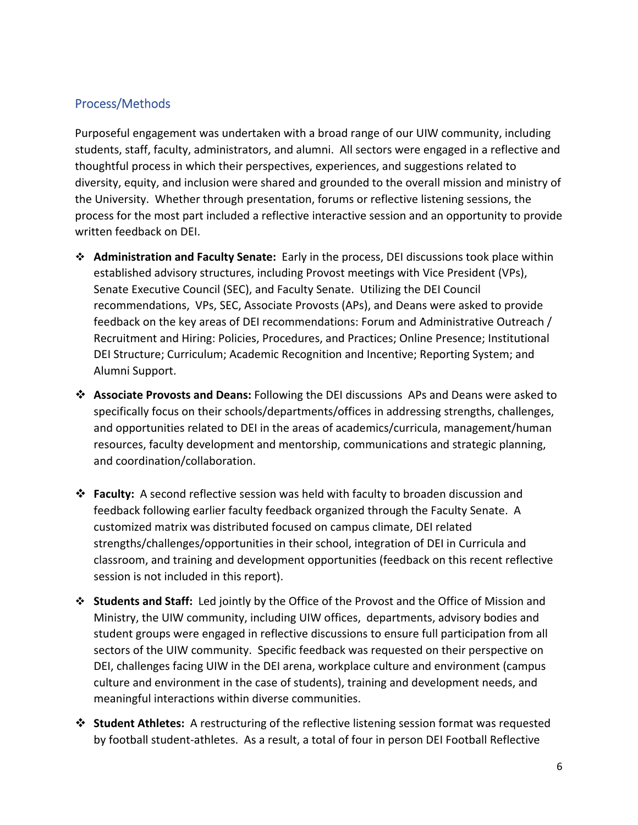## Process/Methods

Purposeful engagement was undertaken with a broad range of our UIW community, including students, staff, faculty, administrators, and alumni. All sectors were engaged in a reflective and thoughtful process in which their perspectives, experiences, and suggestions related to diversity, equity, and inclusion were shared and grounded to the overall mission and ministry of the University. Whether through presentation, forums or reflective listening sessions, the process for the most part included a reflective interactive session and an opportunity to provide written feedback on DEI.

- **Administration and Faculty Senate:** Early in the process, DEI discussions took place within established advisory structures, including Provost meetings with Vice President (VPs), Senate Executive Council (SEC), and Faculty Senate. Utilizing the DEI Council recommendations, VPs, SEC, Associate Provosts (APs), and Deans were asked to provide feedback on the key areas of DEI recommendations: Forum and Administrative Outreach / Recruitment and Hiring: Policies, Procedures, and Practices; Online Presence; Institutional DEI Structure; Curriculum; Academic Recognition and Incentive; Reporting System; and Alumni Support.
- **Associate Provosts and Deans:** Following the DEI discussions APs and Deans were asked to specifically focus on their schools/departments/offices in addressing strengths, challenges, and opportunities related to DEI in the areas of academics/curricula, management/human resources, faculty development and mentorship, communications and strategic planning, and coordination/collaboration.
- **Faculty:** A second reflective session was held with faculty to broaden discussion and feedback following earlier faculty feedback organized through the Faculty Senate. A customized matrix was distributed focused on campus climate, DEI related strengths/challenges/opportunities in their school, integration of DEI in Curricula and classroom, and training and development opportunities (feedback on this recent reflective session is not included in this report).
- **Students and Staff:** Led jointly by the Office of the Provost and the Office of Mission and Ministry, the UIW community, including UIW offices, departments, advisory bodies and student groups were engaged in reflective discussions to ensure full participation from all sectors of the UIW community. Specific feedback was requested on their perspective on DEI, challenges facing UIW in the DEI arena, workplace culture and environment (campus culture and environment in the case of students), training and development needs, and meaningful interactions within diverse communities.
- **Student Athletes:** A restructuring of the reflective listening session format was requested by football student‐athletes. As a result, a total of four in person DEI Football Reflective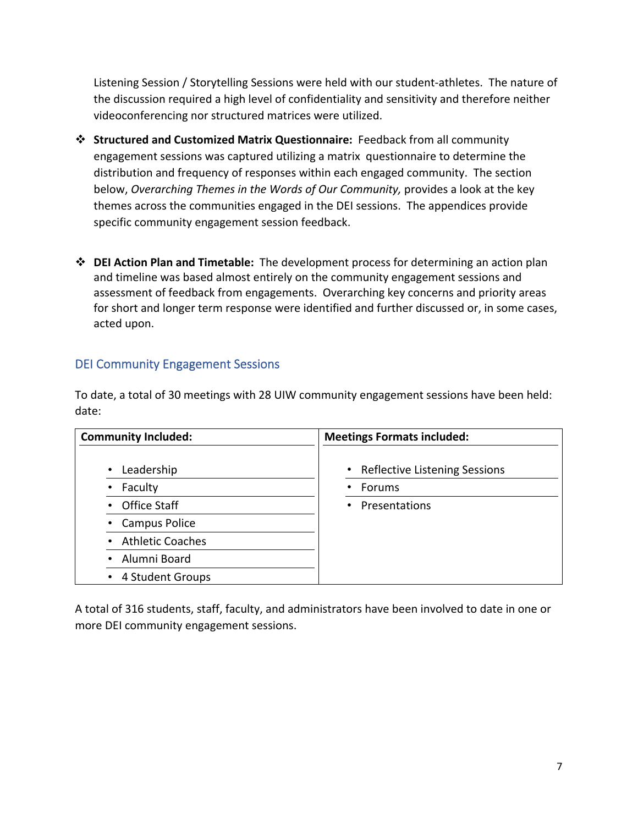Listening Session / Storytelling Sessions were held with our student‐athletes. The nature of the discussion required a high level of confidentiality and sensitivity and therefore neither videoconferencing nor structured matrices were utilized.

- **Structured and Customized Matrix Questionnaire:** Feedback from all community engagement sessions was captured utilizing a matrix questionnaire to determine the distribution and frequency of responses within each engaged community. The section below, *Overarching Themes in the Words of Our Community,* provides a look at the key themes across the communities engaged in the DEI sessions. The appendices provide specific community engagement session feedback.
- **DEI Action Plan and Timetable:** The development process for determining an action plan and timeline was based almost entirely on the community engagement sessions and assessment of feedback from engagements. Overarching key concerns and priority areas for short and longer term response were identified and further discussed or, in some cases, acted upon.

## DEI Community Engagement Sessions

To date, a total of 30 meetings with 28 UIW community engagement sessions have been held: date:

| <b>Community Included:</b> | <b>Meetings Formats included:</b>    |  |  |
|----------------------------|--------------------------------------|--|--|
| Leadership<br>$\bullet$    | <b>Reflective Listening Sessions</b> |  |  |
| Faculty<br>$\bullet$       | Forums                               |  |  |
| • Office Staff             | Presentations                        |  |  |
| • Campus Police            |                                      |  |  |
| • Athletic Coaches         |                                      |  |  |
| • Alumni Board             |                                      |  |  |
| • 4 Student Groups         |                                      |  |  |

A total of 316 students, staff, faculty, and administrators have been involved to date in one or more DEI community engagement sessions.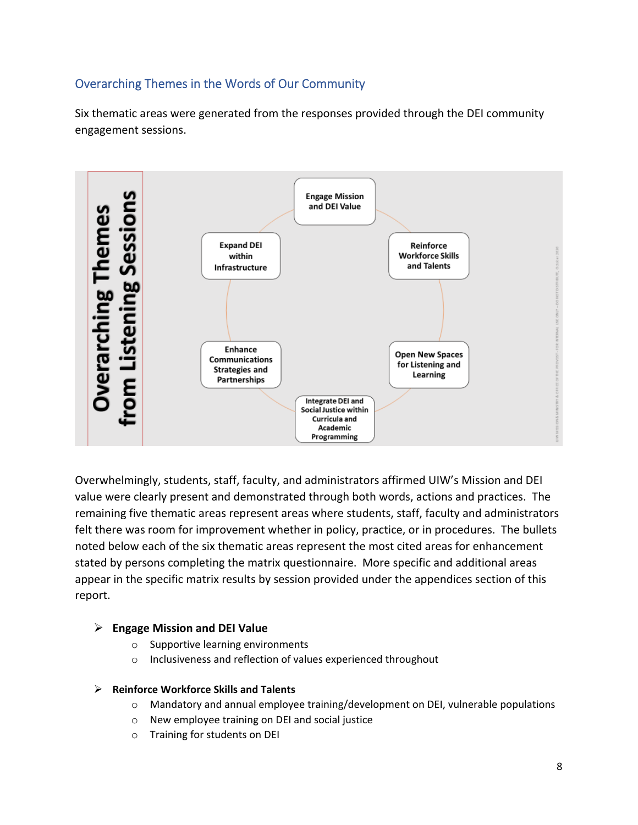## Overarching Themes in the Words of Our Community

Six thematic areas were generated from the responses provided through the DEI community engagement sessions.



Overwhelmingly, students, staff, faculty, and administrators affirmed UIW's Mission and DEI value were clearly present and demonstrated through both words, actions and practices. The remaining five thematic areas represent areas where students, staff, faculty and administrators felt there was room for improvement whether in policy, practice, or in procedures. The bullets noted below each of the six thematic areas represent the most cited areas for enhancement stated by persons completing the matrix questionnaire. More specific and additional areas appear in the specific matrix results by session provided under the appendices section of this report.

### **Engage Mission and DEI Value**

- o Supportive learning environments
- o Inclusiveness and reflection of values experienced throughout

#### **Reinforce Workforce Skills and Talents**

- o Mandatory and annual employee training/development on DEI, vulnerable populations
- o New employee training on DEI and social justice
- o Training for students on DEI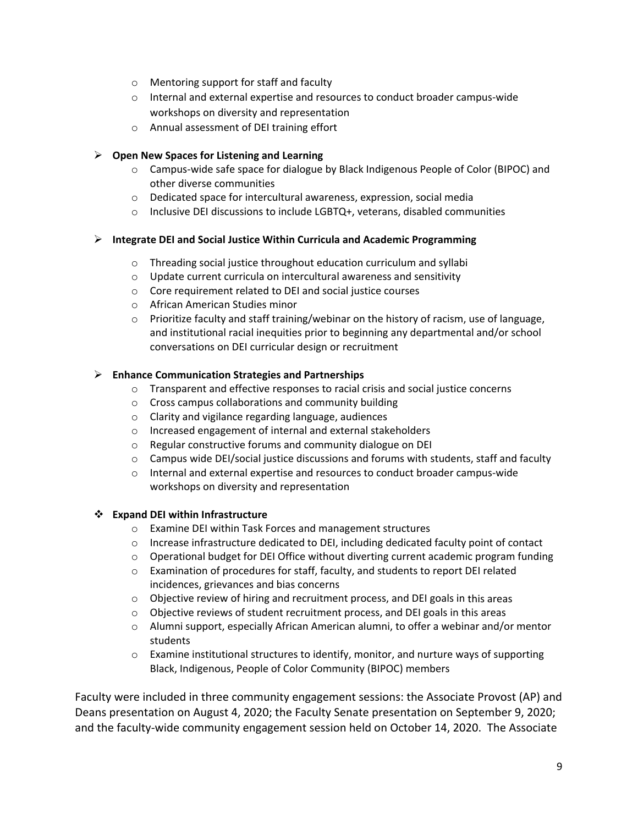- o Mentoring support for staff and faculty
- o Internal and external expertise and resources to conduct broader campus‐wide workshops on diversity and representation
- o Annual assessment of DEI training effort

#### **Open New Spaces for Listening and Learning**

- o Campus‐wide safe space for dialogue by Black Indigenous People of Color (BIPOC) and other diverse communities
- o Dedicated space for intercultural awareness, expression, social media
- o Inclusive DEI discussions to include LGBTQ+, veterans, disabled communities

#### **Integrate DEI and Social Justice Within Curricula and Academic Programming**

- o Threading social justice throughout education curriculum and syllabi
- o Update current curricula on intercultural awareness and sensitivity
- o Core requirement related to DEI and social justice courses
- o African American Studies minor
- $\circ$  Prioritize faculty and staff training/webinar on the history of racism, use of language, and institutional racial inequities prior to beginning any departmental and/or school conversations on DEI curricular design or recruitment

#### **Enhance Communication Strategies and Partnerships**

- o Transparent and effective responses to racial crisis and social justice concerns
- o Cross campus collaborations and community building
- o Clarity and vigilance regarding language, audiences
- o Increased engagement of internal and external stakeholders
- o Regular constructive forums and community dialogue on DEI
- $\circ$  Campus wide DEI/social justice discussions and forums with students, staff and faculty
- o Internal and external expertise and resources to conduct broader campus‐wide workshops on diversity and representation

#### **Expand DEI within Infrastructure**

- o Examine DEI within Task Forces and management structures
- $\circ$  Increase infrastructure dedicated to DEI, including dedicated faculty point of contact
- $\circ$  Operational budget for DEI Office without diverting current academic program funding
- o Examination of procedures for staff, faculty, and students to report DEI related incidences, grievances and bias concerns
- $\circ$  Objective review of hiring and recruitment process, and DEI goals in this areas
- o Objective reviews of student recruitment process, and DEI goals in this areas
- o Alumni support, especially African American alumni, to offer a webinar and/or mentor students
- $\circ$  Examine institutional structures to identify, monitor, and nurture ways of supporting Black, Indigenous, People of Color Community (BIPOC) members

Faculty were included in three community engagement sessions: the Associate Provost (AP) and Deans presentation on August 4, 2020; the Faculty Senate presentation on September 9, 2020; and the faculty-wide community engagement session held on October 14, 2020. The Associate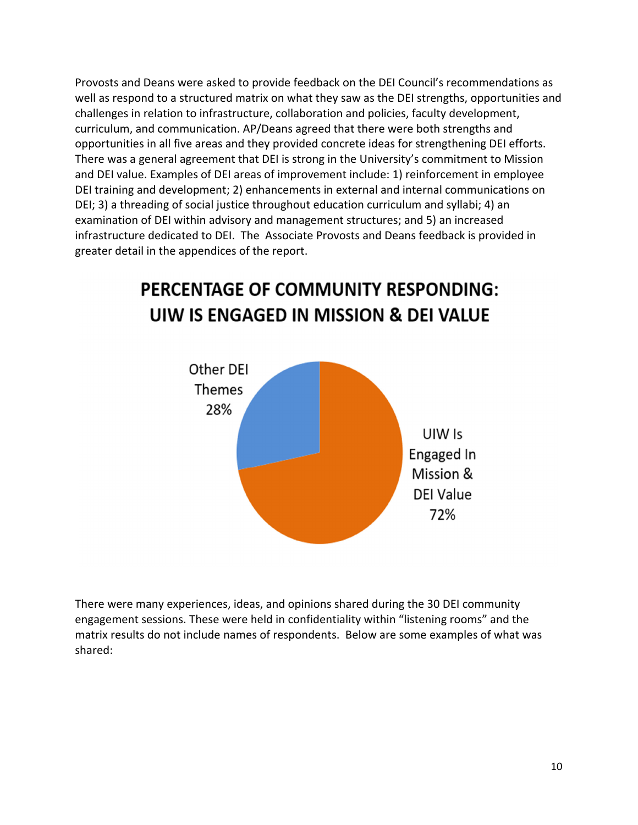Provosts and Deans were asked to provide feedback on the DEI Council's recommendations as well as respond to a structured matrix on what they saw as the DEI strengths, opportunities and challenges in relation to infrastructure, collaboration and policies, faculty development, curriculum, and communication. AP/Deans agreed that there were both strengths and opportunities in all five areas and they provided concrete ideas for strengthening DEI efforts. There was a general agreement that DEI is strong in the University's commitment to Mission and DEI value. Examples of DEI areas of improvement include: 1) reinforcement in employee DEI training and development; 2) enhancements in external and internal communications on DEI; 3) a threading of social justice throughout education curriculum and syllabi; 4) an examination of DEI within advisory and management structures; and 5) an increased infrastructure dedicated to DEI. The Associate Provosts and Deans feedback is provided in greater detail in the appendices of the report.



# PERCENTAGE OF COMMUNITY RESPONDING: UIW IS ENGAGED IN MISSION & DEI VALUE

There were many experiences, ideas, and opinions shared during the 30 DEI community engagement sessions. These were held in confidentiality within "listening rooms" and the matrix results do not include names of respondents. Below are some examples of what was shared: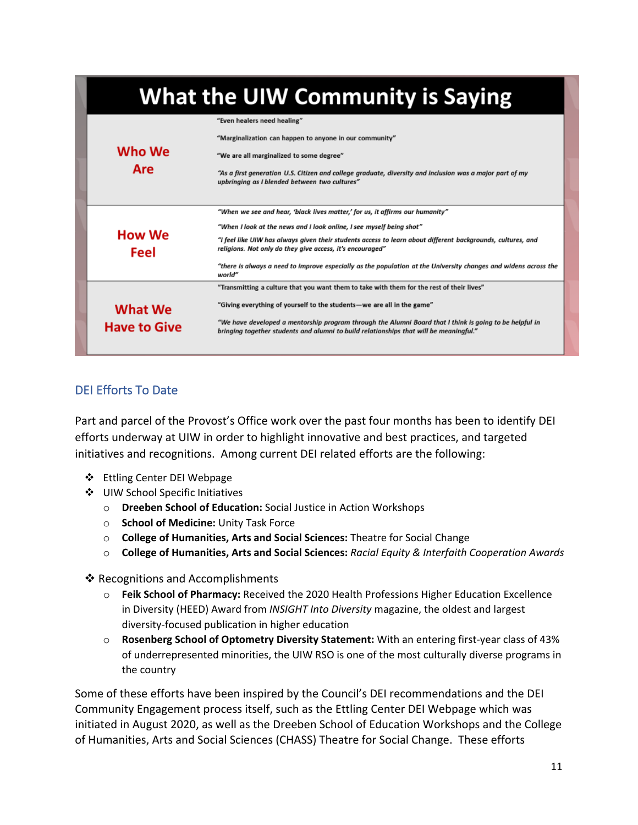| <b>What the UIW Community is Saying</b> |                                                                                                                                                                                                                                                                                                                                                                                                                                                                |  |  |
|-----------------------------------------|----------------------------------------------------------------------------------------------------------------------------------------------------------------------------------------------------------------------------------------------------------------------------------------------------------------------------------------------------------------------------------------------------------------------------------------------------------------|--|--|
| Who We<br>Are                           | "Even healers need healing"<br>"Marginalization can happen to anyone in our community"<br>"We are all marginalized to some degree"<br>"As a first generation U.S. Citizen and college graduate, diversity and inclusion was a major part of my<br>upbringing as I blended between two cultures"                                                                                                                                                                |  |  |
| <b>How We</b><br>Feel                   | "When we see and hear, 'black lives matter,' for us, it affirms our humanity"<br>"When I look at the news and I look online, I see myself being shot"<br>"I feel like UIW has always given their students access to learn about different backgrounds, cultures, and<br>religions. Not only do they give access, it's encouraged"<br>"there is always a need to improve especially as the population at the University changes and widens across the<br>world" |  |  |
| What We<br><b>Have to Give</b>          | "Transmitting a culture that you want them to take with them for the rest of their lives"<br>"Giving everything of yourself to the students—we are all in the game"<br>"We have developed a mentorship program through the Alumni Board that I think is going to be helpful in<br>bringing together students and alumni to build relationships that will be meaningful."                                                                                       |  |  |

## DEI Efforts To Date

Part and parcel of the Provost's Office work over the past four months has been to identify DEI efforts underway at UIW in order to highlight innovative and best practices, and targeted initiatives and recognitions. Among current DEI related efforts are the following:

- ❖ Ettling Center DEI Webpage
- UIW School Specific Initiatives
	- o **Dreeben School of Education:** Social Justice in Action Workshops
	- o **School of Medicine:** Unity Task Force
	- o **College of Humanities, Arts and Social Sciences:** Theatre for Social Change
	- o **College of Humanities, Arts and Social Sciences:** *Racial Equity & Interfaith Cooperation Awards*
- ❖ Recognitions and Accomplishments
	- o **Feik School of Pharmacy:** Received the 2020 Health Professions Higher Education Excellence in Diversity (HEED) Award from *INSIGHT Into Diversity* magazine, the oldest and largest diversity‐focused publication in higher education
	- o **Rosenberg School of Optometry Diversity Statement:** With an entering first‐year class of 43% of underrepresented minorities, the UIW RSO is one of the most culturally diverse programs in the country

Some of these efforts have been inspired by the Council's DEI recommendations and the DEI Community Engagement process itself, such as the Ettling Center DEI Webpage which was initiated in August 2020, as well as the Dreeben School of Education Workshops and the College of Humanities, Arts and Social Sciences (CHASS) Theatre for Social Change. These efforts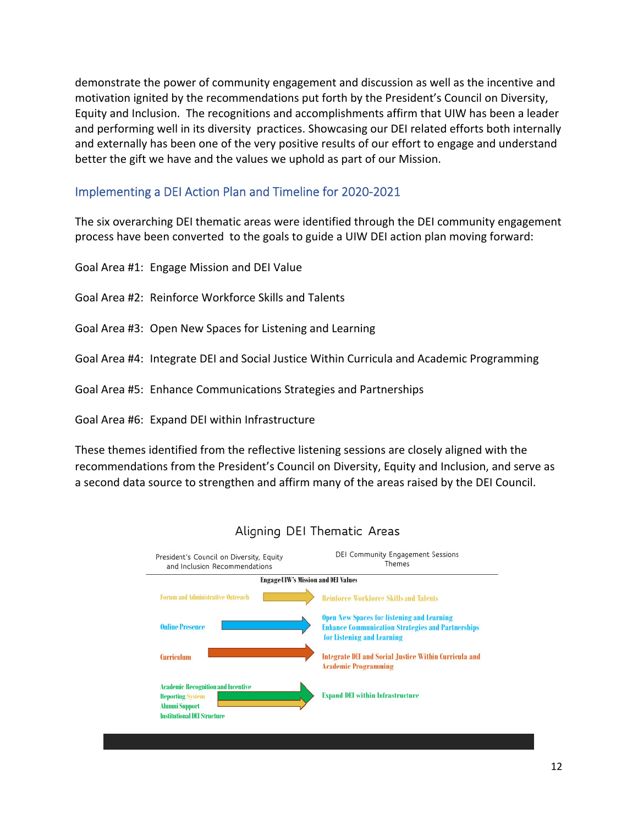demonstrate the power of community engagement and discussion as well as the incentive and motivation ignited by the recommendations put forth by the President's Council on Diversity, Equity and Inclusion. The recognitions and accomplishments affirm that UIW has been a leader and performing well in its diversity practices. Showcasing our DEI related efforts both internally and externally has been one of the very positive results of our effort to engage and understand better the gift we have and the values we uphold as part of our Mission.

#### Implementing a DEI Action Plan and Timeline for 2020‐2021

The six overarching DEI thematic areas were identified through the DEI community engagement process have been converted to the goals to guide a UIW DEI action plan moving forward:

Goal Area #1: Engage Mission and DEI Value Goal Area #2: Reinforce Workforce Skills and Talents Goal Area #3: Open New Spaces for Listening and Learning Goal Area #4: Integrate DEI and Social Justice Within Curricula and Academic Programming Goal Area #5: Enhance Communications Strategies and Partnerships Goal Area #6: Expand DEI within Infrastructure

These themes identified from the reflective listening sessions are closely aligned with the recommendations from the President's Council on Diversity, Equity and Inclusion, and serve as a second data source to strengthen and affirm many of the areas raised by the DEI Council.



### Aligning DEI Thematic Areas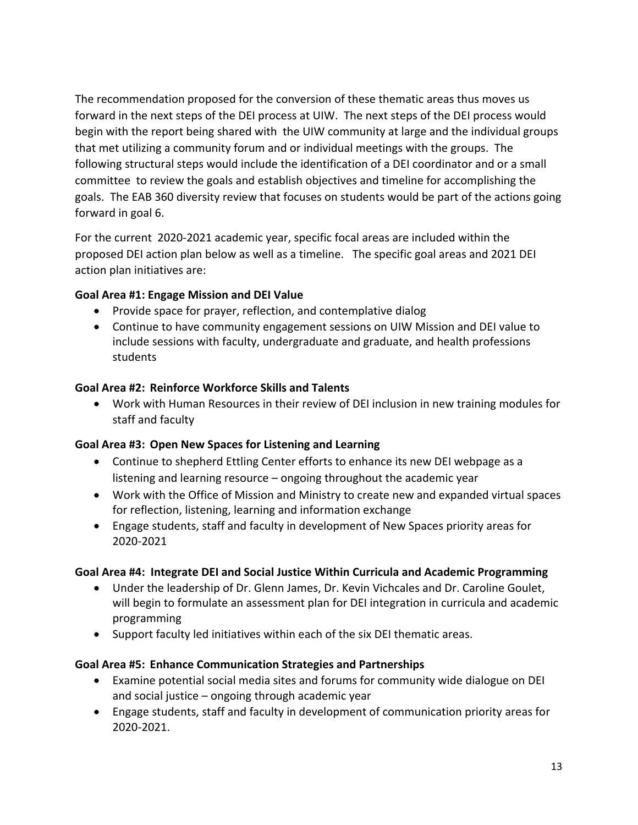The recommendation proposed for the conversion of these thematic areas thus moves us forward in the next steps of the DEI process at UIW. The next steps of the DEI process would begin with the report being shared with the UIW community at large and the individual groups that met utilizing a community forum and or individual meetings with the groups. The following structural steps would include the identification of a DEI coordinator and or a small committee to review the goals and establish objectives and timeline for accomplishing the goals. The EAB 360 diversity review that focuses on students would be part of the actions going forward in goal 6.

For the current 2020‐2021 academic year, specific focal areas are included within the proposed DEI action plan below as well as a timeline. The specific goal areas and 2021 DEI action plan initiatives are:

## **Goal Area #1: Engage Mission and DEI Value**

- Provide space for prayer, reflection, and contemplative dialog
- Continue to have community engagement sessions on UIW Mission and DEI value to include sessions with faculty, undergraduate and graduate, and health professions students

## **Goal Area #2: Reinforce Workforce Skills and Talents**

 Work with Human Resources in their review of DEI inclusion in new training modules for staff and faculty

## **Goal Area #3: Open New Spaces for Listening and Learning**

- Continue to shepherd Ettling Center efforts to enhance its new DEI webpage as a listening and learning resource – ongoing throughout the academic year
- Work with the Office of Mission and Ministry to create new and expanded virtual spaces for reflection, listening, learning and information exchange
- Engage students, staff and faculty in development of New Spaces priority areas for 2020‐2021

## **Goal Area #4: Integrate DEI and Social Justice Within Curricula and Academic Programming**

- Under the leadership of Dr. Glenn James, Dr. Kevin Vichcales and Dr. Caroline Goulet, will begin to formulate an assessment plan for DEI integration in curricula and academic programming
- Support faculty led initiatives within each of the six DEI thematic areas.

## **Goal Area #5: Enhance Communication Strategies and Partnerships**

- Examine potential social media sites and forums for community wide dialogue on DEI and social justice – ongoing through academic year
- Engage students, staff and faculty in development of communication priority areas for 2020‐2021.